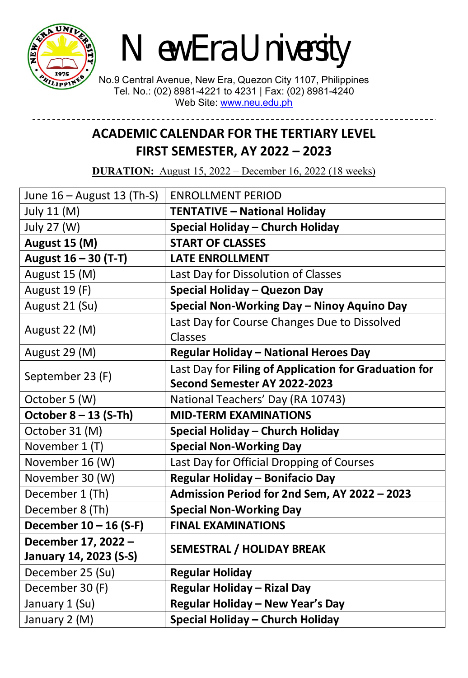

*New Era University*

No.9 Central Avenue, New Era, Quezon City 1107, Philippines Tel. No.: (02) 8981-4221 to 4231 | Fax: (02) 8981-4240 Web Site: [www.neu.edu.ph](http://www.neu.edu.ph/)

## **ACADEMIC CALENDAR FOR THE TERTIARY LEVEL FIRST SEMESTER, AY 2022 – 2023**

**DURATION:** August 15, 2022 – December 16, 2022 (18 weeks)

| June $16 -$ August 13 (Th-S) | <b>ENROLLMENT PERIOD</b>                              |  |
|------------------------------|-------------------------------------------------------|--|
| July 11 (M)                  | <b>TENTATIVE - National Holiday</b>                   |  |
| July 27 (W)                  | Special Holiday - Church Holiday                      |  |
| August 15 (M)                | <b>START OF CLASSES</b>                               |  |
| August 16 - 30 (T-T)         | <b>LATE ENROLLMENT</b>                                |  |
| August 15 (M)                | Last Day for Dissolution of Classes                   |  |
| August 19 (F)                | Special Holiday - Quezon Day                          |  |
| August 21 (Su)               | Special Non-Working Day - Ninoy Aquino Day            |  |
| August 22 (M)                | Last Day for Course Changes Due to Dissolved          |  |
|                              | Classes                                               |  |
| August 29 (M)                | <b>Regular Holiday - National Heroes Day</b>          |  |
| September 23 (F)             | Last Day for Filing of Application for Graduation for |  |
|                              | Second Semester AY 2022-2023                          |  |
| October 5 (W)                | National Teachers' Day (RA 10743)                     |  |
| October $8 - 13$ (S-Th)      | <b>MID-TERM EXAMINATIONS</b>                          |  |
| October 31 (M)               | Special Holiday - Church Holiday                      |  |
| November 1 (T)               | <b>Special Non-Working Day</b>                        |  |
| November 16 (W)              | Last Day for Official Dropping of Courses             |  |
| November 30 (W)              | Regular Holiday - Bonifacio Day                       |  |
| December 1 (Th)              | Admission Period for 2nd Sem, AY 2022 - 2023          |  |
| December 8 (Th)              | <b>Special Non-Working Day</b>                        |  |
| December 10 - 16 (S-F)       | <b>FINAL EXAMINATIONS</b>                             |  |
| December 17, 2022 -          | <b>SEMESTRAL / HOLIDAY BREAK</b>                      |  |
| January 14, 2023 (S-S)       |                                                       |  |
| December 25 (Su)             | <b>Regular Holiday</b>                                |  |
| December 30 (F)              | <b>Regular Holiday - Rizal Day</b>                    |  |
| January 1 (Su)               | Regular Holiday - New Year's Day                      |  |
| January 2 (M)                | Special Holiday - Church Holiday                      |  |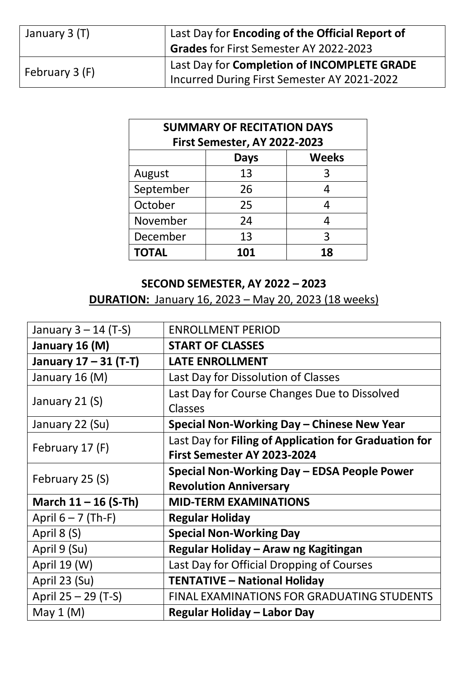| January 3 (T)  | Last Day for Encoding of the Official Report of |  |
|----------------|-------------------------------------------------|--|
|                | Grades for First Semester AY 2022-2023          |  |
| February 3 (F) | Last Day for Completion of INCOMPLETE GRADE     |  |
|                | Incurred During First Semester AY 2021-2022     |  |

| <b>SUMMARY OF RECITATION DAYS</b><br><b>First Semester, AY 2022-2023</b> |     |    |
|--------------------------------------------------------------------------|-----|----|
| <b>Weeks</b><br><b>Days</b>                                              |     |    |
| August                                                                   | 13  | 3  |
| September                                                                | 26  | 4  |
| October                                                                  | 25  | 4  |
| November                                                                 | 24  | 4  |
| December                                                                 | 13  | 3  |
| <b>TOTAL</b>                                                             | 101 | 18 |

## **SECOND SEMESTER, AY 2022 – 2023 DURATION:** January 16, 2023 – May 20, 2023 (18 weeks)

| January $3 - 14$ (T-S) | <b>ENROLLMENT PERIOD</b>                              |  |
|------------------------|-------------------------------------------------------|--|
| January 16 (M)         | <b>START OF CLASSES</b>                               |  |
| January 17 - 31 (T-T)  | <b>LATE ENROLLMENT</b>                                |  |
| January 16 (M)         | Last Day for Dissolution of Classes                   |  |
|                        | Last Day for Course Changes Due to Dissolved          |  |
| January 21 (S)         | <b>Classes</b>                                        |  |
| January 22 (Su)        | Special Non-Working Day - Chinese New Year            |  |
| February 17 (F)        | Last Day for Filing of Application for Graduation for |  |
|                        | First Semester AY 2023-2024                           |  |
| February 25 (S)        | Special Non-Working Day - EDSA People Power           |  |
|                        | <b>Revolution Anniversary</b>                         |  |
| March $11 - 16$ (S-Th) | <b>MID-TERM EXAMINATIONS</b>                          |  |
| April $6 - 7$ (Th-F)   | <b>Regular Holiday</b>                                |  |
| April 8 (S)            | <b>Special Non-Working Day</b>                        |  |
| April 9 (Su)           | Regular Holiday - Araw ng Kagitingan                  |  |
| April 19 (W)           | Last Day for Official Dropping of Courses             |  |
| April 23 (Su)          | <b>TENTATIVE - National Holiday</b>                   |  |
| April 25 – 29 (T-S)    | <b>FINAL EXAMINATIONS FOR GRADUATING STUDENTS</b>     |  |
| May $1(M)$             | Regular Holiday – Labor Day                           |  |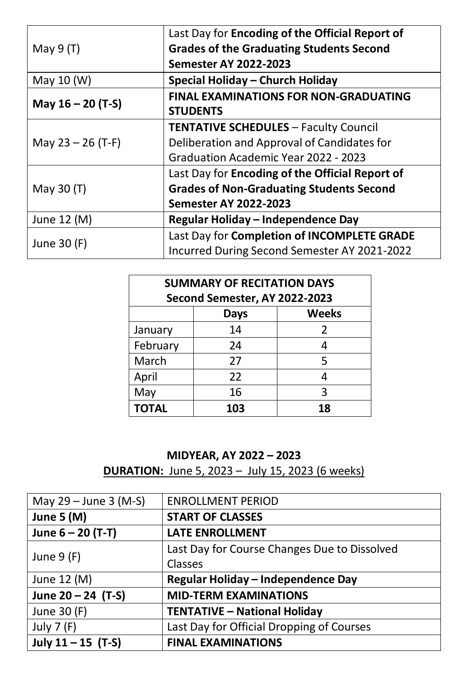| May $9(T)$          | Last Day for Encoding of the Official Report of                 |  |
|---------------------|-----------------------------------------------------------------|--|
|                     | <b>Grades of the Graduating Students Second</b>                 |  |
|                     | <b>Semester AY 2022-2023</b>                                    |  |
| May 10 (W)          | Special Holiday - Church Holiday                                |  |
| May $16 - 20$ (T-S) | <b>FINAL EXAMINATIONS FOR NON-GRADUATING</b><br><b>STUDENTS</b> |  |
| May $23 - 26$ (T-F) | <b>TENTATIVE SCHEDULES - Faculty Council</b>                    |  |
|                     | Deliberation and Approval of Candidates for                     |  |
|                     | Graduation Academic Year 2022 - 2023                            |  |
| May 30 (T)          | Last Day for Encoding of the Official Report of                 |  |
|                     | <b>Grades of Non-Graduating Students Second</b>                 |  |
|                     | <b>Semester AY 2022-2023</b>                                    |  |
| June 12 (M)         | Regular Holiday - Independence Day                              |  |
| June 30 (F)         | Last Day for Completion of INCOMPLETE GRADE                     |  |
|                     | Incurred During Second Semester AY 2021-2022                    |  |

| <b>SUMMARY OF RECITATION DAYS</b><br>Second Semester, AY 2022-2023 |     |    |
|--------------------------------------------------------------------|-----|----|
| <b>Weeks</b><br><b>Days</b>                                        |     |    |
| January                                                            | 14  | 2  |
| February                                                           | 24  | 4  |
| March                                                              | 27  | 5  |
| April                                                              | 22  | 4  |
| May                                                                | 16  | 3  |
| <b>TOTAL</b>                                                       | 103 | 18 |

## **MIDYEAR, AY 2022 – 2023**

**DURATION:** June 5, 2023 – July 15, 2023 (6 weeks)

| May $29 -$ June 3 (M-S) | <b>ENROLLMENT PERIOD</b>                     |
|-------------------------|----------------------------------------------|
| June 5 $(M)$            | <b>START OF CLASSES</b>                      |
| June $6 - 20$ (T-T)     | <b>LATE ENROLLMENT</b>                       |
|                         | Last Day for Course Changes Due to Dissolved |
| June $9(F)$             | Classes                                      |
| June 12 (M)             | Regular Holiday - Independence Day           |
| June $20 - 24$ (T-S)    | <b>MID-TERM EXAMINATIONS</b>                 |
| June 30 (F)             | <b>TENTATIVE - National Holiday</b>          |
| July $7(F)$             | Last Day for Official Dropping of Courses    |
| July $11 - 15$ (T-S)    | <b>FINAL EXAMINATIONS</b>                    |